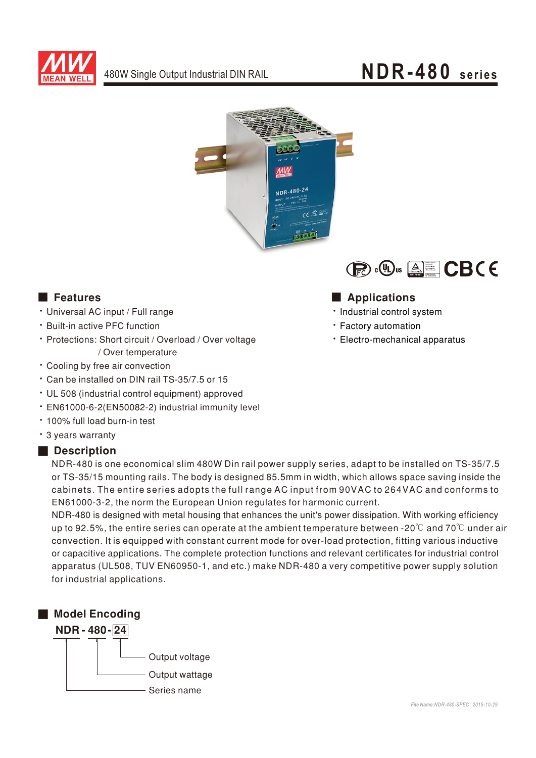

## NDR-480 series





#### **Execution** Features

- · Universal AC input / Full range
- \* Built-in active PFC function
- · Protections: Short circuit / Overload / Over voltage / Over temperature
- Cooling by free air convection
- \* Can be installed on DIN rail TS-35/7.5 or 15
- UL 508 (industrial control equipment) approved
- · EN61000-6-2(EN50082-2) industrial immunity level
- . 100% full load burn-in test
- \* 3 years warranty

#### Description

NDR-480 is one economical slim 480W Din rail power supply series, adapt to be installed on TS-35/7.5 or TS-35/15 mounting rails. The body is designed 85.5mm in width, which allows space saving inside the cabinets. The entire series adopts the full range AC input from 90VAC to 264VAC and conforms to EN61000-3-2, the norm the European Union regulates for harmonic current.

NDR-480 is designed with metal housing that enhances the unit's power dissipation. With working efficiency up to 92.5%, the entire series can operate at the ambient temperature between -20 $\degree$  and 70 $\degree$ C under air convection. It is equipped with constant current mode for over-load protection, fitting various inductive or capacitive applications. The complete protection functions and relevant certificates for industrial control apparatus (UL508, TUV EN60950-1, and etc.) make NDR-480 a very competitive power supply solution for industrial applications.





· Industrial control system

- Factory automation
- · Electro-mechanical apparatus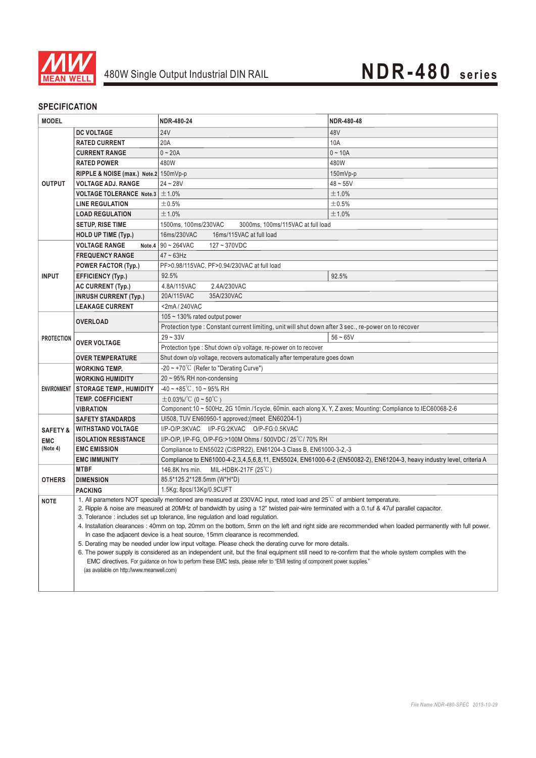

## 480W Single Output Industrial DIN RAIL **NDR-480** *series*

#### **SPECIFICATION**

| <b>MODEL</b>                                  |                                                                                                                                                                                                                                                                                                                               | NDR-480-24                                                                                                            | NDR-480-48 |
|-----------------------------------------------|-------------------------------------------------------------------------------------------------------------------------------------------------------------------------------------------------------------------------------------------------------------------------------------------------------------------------------|-----------------------------------------------------------------------------------------------------------------------|------------|
|                                               | <b>DC VOLTAGE</b>                                                                                                                                                                                                                                                                                                             | <b>24V</b>                                                                                                            | 48V        |
| <b>OUTPUT</b>                                 | <b>RATED CURRENT</b>                                                                                                                                                                                                                                                                                                          | 20A                                                                                                                   | 10A        |
|                                               | <b>CURRENT RANGE</b>                                                                                                                                                                                                                                                                                                          | $0 - 20A$                                                                                                             | $0 - 10A$  |
|                                               | <b>RATED POWER</b>                                                                                                                                                                                                                                                                                                            | 480W                                                                                                                  | 480W       |
|                                               | RIPPLE & NOISE (max.) Note.2 150mVp-p                                                                                                                                                                                                                                                                                         |                                                                                                                       | 150mVp-p   |
|                                               | <b>VOLTAGE ADJ. RANGE</b>                                                                                                                                                                                                                                                                                                     | $24 - 28V$                                                                                                            | $48 - 55V$ |
|                                               | VOLTAGE TOLERANCE Note.3                                                                                                                                                                                                                                                                                                      | ±1.0%                                                                                                                 | ±1.0%      |
|                                               | <b>LINE REGULATION</b>                                                                                                                                                                                                                                                                                                        | ±0.5%                                                                                                                 | ±0.5%      |
|                                               | <b>LOAD REGULATION</b>                                                                                                                                                                                                                                                                                                        | ±1.0%                                                                                                                 | ±1.0%      |
|                                               | <b>SETUP, RISE TIME</b>                                                                                                                                                                                                                                                                                                       | 3000ms, 100ms/115VAC at full load<br>1500ms, 100ms/230VAC                                                             |            |
|                                               | <b>HOLD UP TIME (Typ.)</b>                                                                                                                                                                                                                                                                                                    | 16ms/230VAC<br>16ms/115VAC at full load                                                                               |            |
|                                               | <b>VOLTAGE RANGE</b>                                                                                                                                                                                                                                                                                                          | Note.4 $90 \sim 264$ VAC<br>$127 - 370VDC$                                                                            |            |
| <b>INPUT</b>                                  | <b>FREQUENCY RANGE</b>                                                                                                                                                                                                                                                                                                        | $47 \sim 63$ Hz                                                                                                       |            |
|                                               | POWER FACTOR (Typ.)                                                                                                                                                                                                                                                                                                           | PF>0.98/115VAC, PF>0.94/230VAC at full load                                                                           |            |
|                                               | <b>EFFICIENCY (Typ.)</b>                                                                                                                                                                                                                                                                                                      | 92.5%                                                                                                                 | 92.5%      |
|                                               | <b>AC CURRENT (Typ.)</b>                                                                                                                                                                                                                                                                                                      | 4.8A/115VAC<br>2.4A/230VAC                                                                                            |            |
|                                               | <b>INRUSH CURRENT (Typ.)</b>                                                                                                                                                                                                                                                                                                  | 35A/230VAC<br>20A/115VAC                                                                                              |            |
|                                               | <b>LEAKAGE CURRENT</b>                                                                                                                                                                                                                                                                                                        | $<$ 2mA / 240VAC                                                                                                      |            |
| <b>PROTECTION</b>                             |                                                                                                                                                                                                                                                                                                                               | 105 ~ 130% rated output power                                                                                         |            |
|                                               | <b>OVERLOAD</b>                                                                                                                                                                                                                                                                                                               | Protection type : Constant current limiting, unit will shut down after 3 sec., re-power on to recover                 |            |
|                                               | <b>OVER VOLTAGE</b>                                                                                                                                                                                                                                                                                                           | $29 - 33V$                                                                                                            | $56 - 65V$ |
|                                               |                                                                                                                                                                                                                                                                                                                               | Protection type : Shut down o/p voltage, re-power on to recover                                                       |            |
|                                               | <b>OVER TEMPERATURE</b>                                                                                                                                                                                                                                                                                                       | Shut down o/p voltage, recovers automatically after temperature goes down                                             |            |
| ENVIRONMENT                                   | <b>WORKING TEMP.</b>                                                                                                                                                                                                                                                                                                          | -20 ~ +70°C (Refer to "Derating Curve")                                                                               |            |
|                                               | <b>WORKING HUMIDITY</b>                                                                                                                                                                                                                                                                                                       | $20 \sim 95\%$ RH non-condensing                                                                                      |            |
|                                               | <b>STORAGE TEMP., HUMIDITY</b>                                                                                                                                                                                                                                                                                                | $-40 \sim +85^{\circ}$ C, 10 ~ 95% RH                                                                                 |            |
|                                               | <b>TEMP. COEFFICIENT</b>                                                                                                                                                                                                                                                                                                      | $\pm 0.03\%$ /°C (0 ~ 50°C)                                                                                           |            |
|                                               | <b>VIBRATION</b>                                                                                                                                                                                                                                                                                                              | Component:10 ~ 500Hz, 2G 10min./1cycle, 60min. each along X, Y, Z axes; Mounting: Compliance to IEC60068-2-6          |            |
|                                               | <b>SAFETY STANDARDS</b>                                                                                                                                                                                                                                                                                                       | UI508, TUV EN60950-1 approved; (meet EN60204-1)                                                                       |            |
| <b>SAFETY &amp;</b><br><b>EMC</b><br>(Note 4) | <b>WITHSTAND VOLTAGE</b>                                                                                                                                                                                                                                                                                                      | I/P-O/P:3KVAC I/P-FG:2KVAC O/P-FG:0.5KVAC                                                                             |            |
|                                               | <b>ISOLATION RESISTANCE</b>                                                                                                                                                                                                                                                                                                   | I/P-O/P, I/P-FG, O/P-FG:>100M Ohms / 500VDC / 25°C/ 70% RH                                                            |            |
|                                               | <b>EMC EMISSION</b>                                                                                                                                                                                                                                                                                                           | Compliance to EN55022 (CISPR22), EN61204-3 Class B, EN61000-3-2,-3                                                    |            |
|                                               | <b>EMC IMMUNITY</b>                                                                                                                                                                                                                                                                                                           | Compliance to EN61000-4-2,3,4,5,6,8,11, EN55024, EN61000-6-2 (EN50082-2), EN61204-3, heavy industry level, criteria A |            |
| <b>OTHERS</b>                                 | <b>MTBF</b>                                                                                                                                                                                                                                                                                                                   | 146.8K hrs min.<br>MIL-HDBK-217F $(25^{\circ}C)$                                                                      |            |
|                                               | <b>DIMENSION</b>                                                                                                                                                                                                                                                                                                              | 85.5*125.2*128.5mm (W*H*D)                                                                                            |            |
|                                               | <b>PACKING</b>                                                                                                                                                                                                                                                                                                                | 1.5Kg; 8pcs/13Kg/0.9CUFT                                                                                              |            |
| <b>NOTE</b>                                   | 1. All parameters NOT specially mentioned are measured at 230VAC input, rated load and 25°C of ambient temperature.<br>2. Ripple & noise are measured at 20MHz of bandwidth by using a 12" twisted pair-wire terminated with a 0.1uf & 47uf parallel capacitor.                                                               |                                                                                                                       |            |
|                                               | 3. Tolerance : includes set up tolerance, line regulation and load regulation.                                                                                                                                                                                                                                                |                                                                                                                       |            |
|                                               | 4. Installation clearances : 40mm on top, 20mm on the bottom, 5mm on the left and right side are recommended when loaded permanently with full power.                                                                                                                                                                         |                                                                                                                       |            |
|                                               | In case the adjacent device is a heat source, 15mm clearance is recommended.<br>5. Derating may be needed under low input voltage. Please check the derating curve for more details.                                                                                                                                          |                                                                                                                       |            |
|                                               |                                                                                                                                                                                                                                                                                                                               |                                                                                                                       |            |
|                                               | 6. The power supply is considered as an independent unit, but the final equipment still need to re-confirm that the whole system complies with the<br>EMC directives. For guidance on how to perform these EMC tests, please refer to "EMI testing of component power supplies."<br>(as available on http://www.meanwell.com) |                                                                                                                       |            |
|                                               |                                                                                                                                                                                                                                                                                                                               |                                                                                                                       |            |
|                                               |                                                                                                                                                                                                                                                                                                                               |                                                                                                                       |            |
|                                               |                                                                                                                                                                                                                                                                                                                               |                                                                                                                       |            |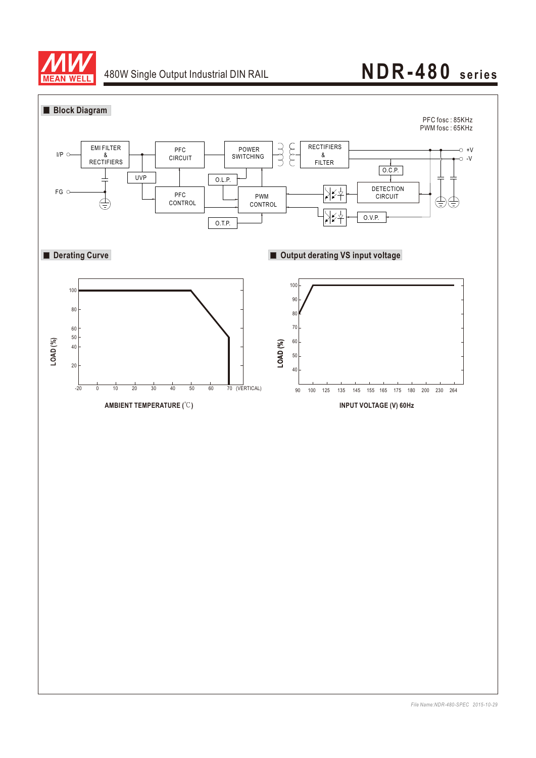

# 480W Single Output Industrial DIN RAIL **NDR-480** series